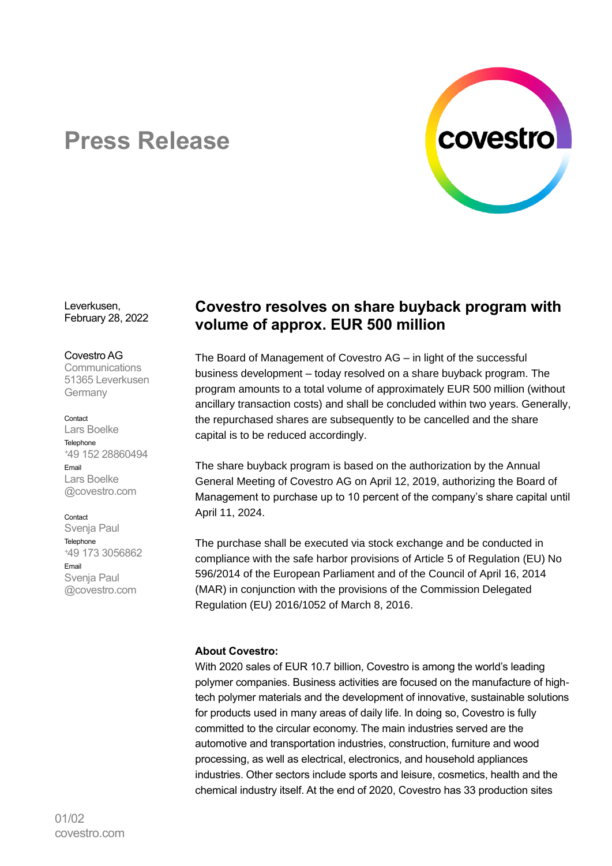

# **Press Release**

Leverkusen, February 28, 2022

#### Covestro AG

Communications 51365 Leverkusen Germany

#### Contact

Lars Boelke Telephone <sup>+</sup>49 152 28860494 Email Lars Boelke @covestro.com

#### Contact

Svenja Paul **Telephone** <sup>+</sup>49 173 3056862 Email Svenja Paul @covestro.com

## **Covestro resolves on share buyback program with volume of approx. EUR 500 million**

The Board of Management of Covestro AG – in light of the successful business development – today resolved on a share buyback program. The program amounts to a total volume of approximately EUR 500 million (without ancillary transaction costs) and shall be concluded within two years. Generally, the repurchased shares are subsequently to be cancelled and the share capital is to be reduced accordingly.

The share buyback program is based on the authorization by the Annual General Meeting of Covestro AG on April 12, 2019, authorizing the Board of Management to purchase up to 10 percent of the company's share capital until April 11, 2024.

The purchase shall be executed via stock exchange and be conducted in compliance with the safe harbor provisions of Article 5 of Regulation (EU) No 596/2014 of the European Parliament and of the Council of April 16, 2014 (MAR) in conjunction with the provisions of the Commission Delegated Regulation (EU) 2016/1052 of March 8, 2016.

### **About Covestro:**

With 2020 sales of EUR 10.7 billion, Covestro is among the world's leading polymer companies. Business activities are focused on the manufacture of hightech polymer materials and the development of innovative, sustainable solutions for products used in many areas of daily life. In doing so, Covestro is fully committed to the circular economy. The main industries served are the automotive and transportation industries, construction, furniture and wood processing, as well as electrical, electronics, and household appliances industries. Other sectors include sports and leisure, cosmetics, health and the chemical industry itself. At the end of 2020, Covestro has 33 production sites